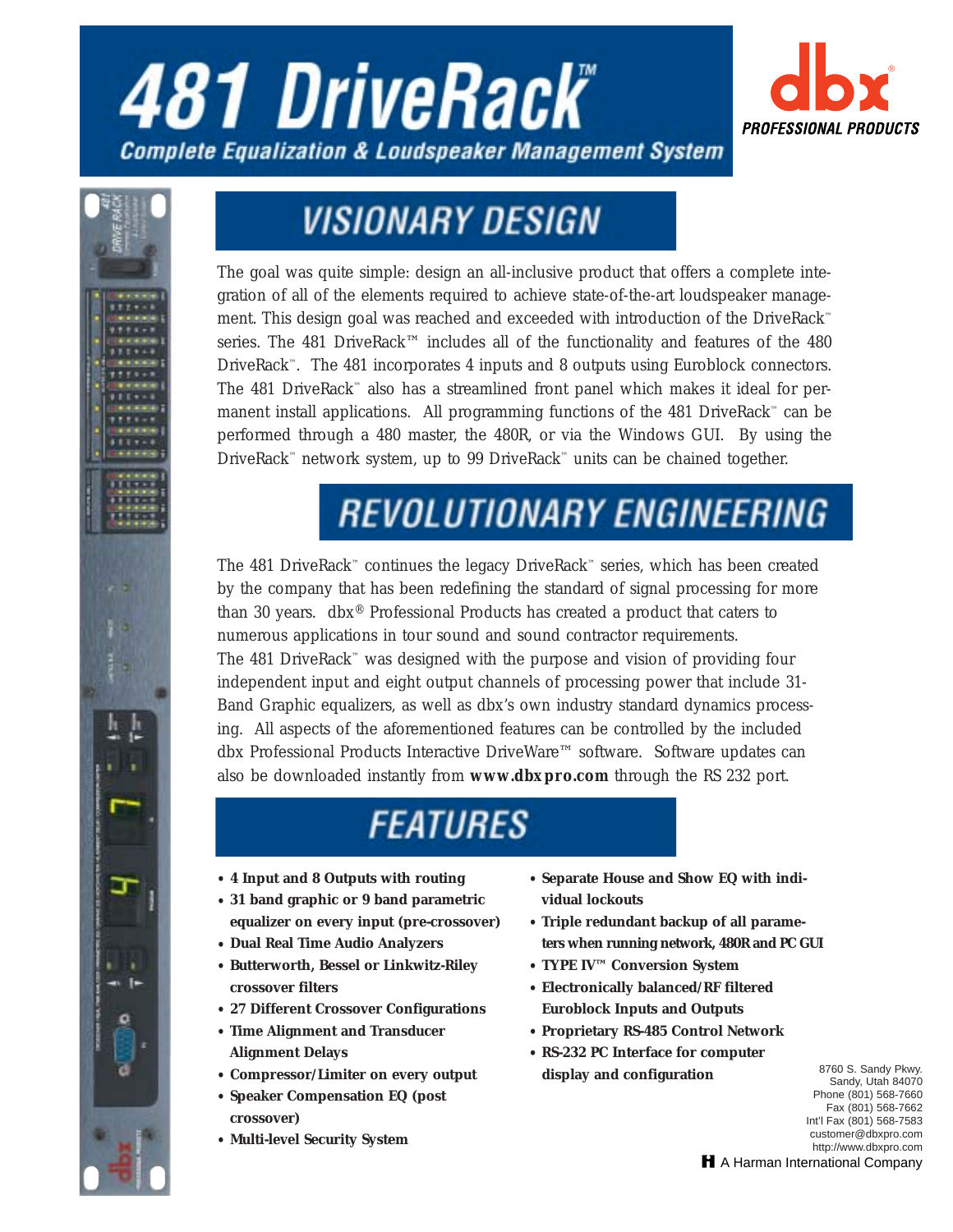# **481 DriveRack® Complete Equalization & Loudspeaker Management System**





## **VISIONARY DESIGN**

The goal was quite simple: design an all-inclusive product that offers a complete integration of all of the elements required to achieve state-of-the-art loudspeaker management. This design goal was reached and exceeded with introduction of the DriveRack™ series. The 481 DriveRack™ includes all of the functionality and features of the 480 DriveRack™. The 481 incorporates 4 inputs and 8 outputs using Euroblock connectors. The 481 DriveRack<sup>™</sup> also has a streamlined front panel which makes it ideal for permanent install applications. All programming functions of the 481 DriveRack™ can be performed through a 480 master, the 480R, or via the Windows GUI. By using the DriveRack™ network system, up to 99 DriveRack™ units can be chained together.

## **REVOLUTIONARY ENGINEERING**

The 481 DriveRack™ continues the legacy DriveRack™ series, which has been created by the company that has been redefining the standard of signal processing for more than 30 years. dbx® Professional Products has created a product that caters to numerous applications in tour sound and sound contractor requirements. The 481 DriveRack™ was designed with the purpose and vision of providing four independent input and eight output channels of processing power that include 31- Band Graphic equalizers, as well as dbx's own industry standard dynamics processing. All aspects of the aforementioned features can be controlled by the included dbx Professional Products Interactive DriveWare™ software. Software updates can also be downloaded instantly from *www.dbxpro.com* through the RS 232 port.

### **FEATURES**

- **• 4 Input and 8 Outputs with routing**
- **• 31 band graphic or 9 band parametric equalizer on every input (pre-crossover)**
- **Dual Real Time Audio Analyzers**
- **• Butterworth, Bessel or Linkwitz-Riley crossover filters**
- **• 27 Different Crossover Configurations**
- **• Time Alignment and Transducer Alignment Delays**
- **• Compressor/Limiter on every output**
- **• Speaker Compensation EQ (post crossover)**
- **• Multi-level Security System**
- **• Separate House and Show EQ with individual lockouts**
- **• Triple redundant backup of all parameters when running network, 480R and PC GUI**
- **• TYPE IV™ Conversion System**
- **• Electronically balanced/RF filtered Euroblock Inputs and Outputs**
- **• Proprietary RS-485 Control Network**
- **• RS-232 PC Interface for computer display and configuration**

8760 S. Sandy Pkwy. Sandy, Utah 84070 Phone (801) 568-7660 Fax (801) 568-7662 Int'l Fax (801) 568-7583 customer@dbxpro.com http://www.dbxpro.com

H A Harman International Company